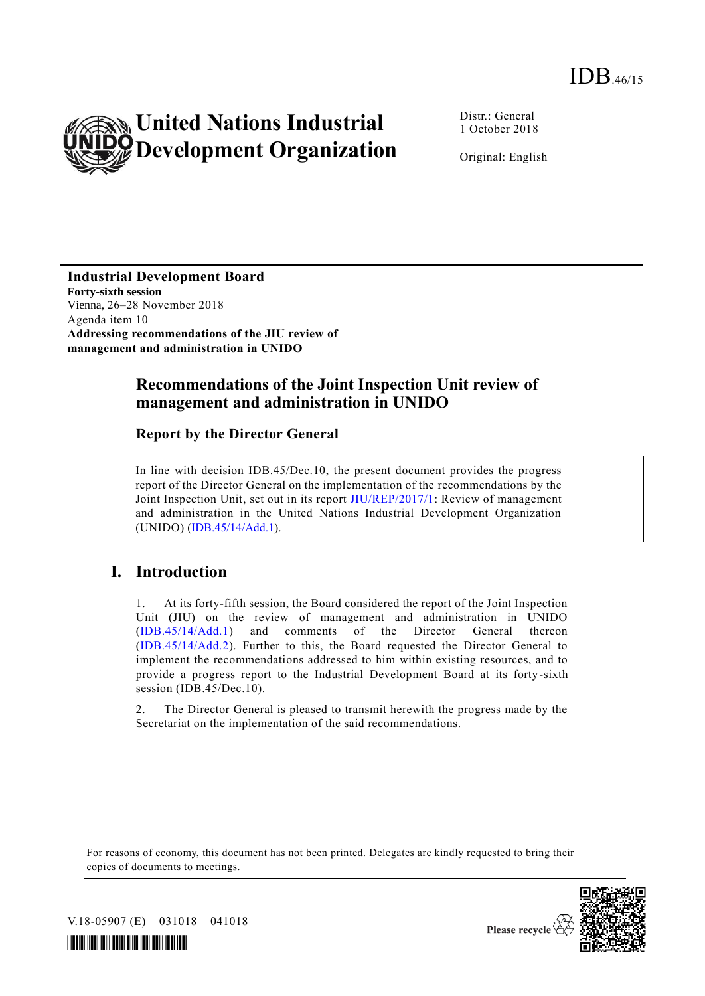

Distr.: General 1 October 2018

Original: English

**Industrial Development Board Forty-sixth session** Vienna, 26–28 November 2018 Agenda item 10 **Addressing recommendations of the JIU review of management and administration in UNIDO**

## **Recommendations of the Joint Inspection Unit review of management and administration in UNIDO**

**Report by the Director General**

In line with decision IDB.45/Dec.10, the present document provides the progress report of the Director General on the implementation of the recommendations by the Joint Inspection Unit, set out in its report [JIU/REP/2017/1:](http://undocs.org/JIU/REP/2017/1) Review of management and administration in the United Nations Industrial Development Organization (UNIDO) [\(IDB.45/14/Add.1\)](http://undocs.org/IDB.45/14/Add.1).

## **I. Introduction**

1. At its forty-fifth session, the Board considered the report of the Joint Inspection Unit (JIU) on the review of management and administration in UNIDO [\(IDB.45/14/Add.1\)](http://undocs.org/IDB.45/14/Add.1) and comments of the Director General thereon [\(IDB.45/14/Add.2\)](http://undocs.org/IDB.45/14/Add.2). Further to this, the Board requested the Director General to implement the recommendations addressed to him within existing resources, and to provide a progress report to the Industrial Development Board at its forty-sixth session (IDB.45/Dec.10).

2. The Director General is pleased to transmit herewith the progress made by the Secretariat on the implementation of the said recommendations.

For reasons of economy, this document has not been printed. Delegates are kindly requested to bring their copies of documents to meetings.



Please recycle

V.18-05907 (E) 031018 041018

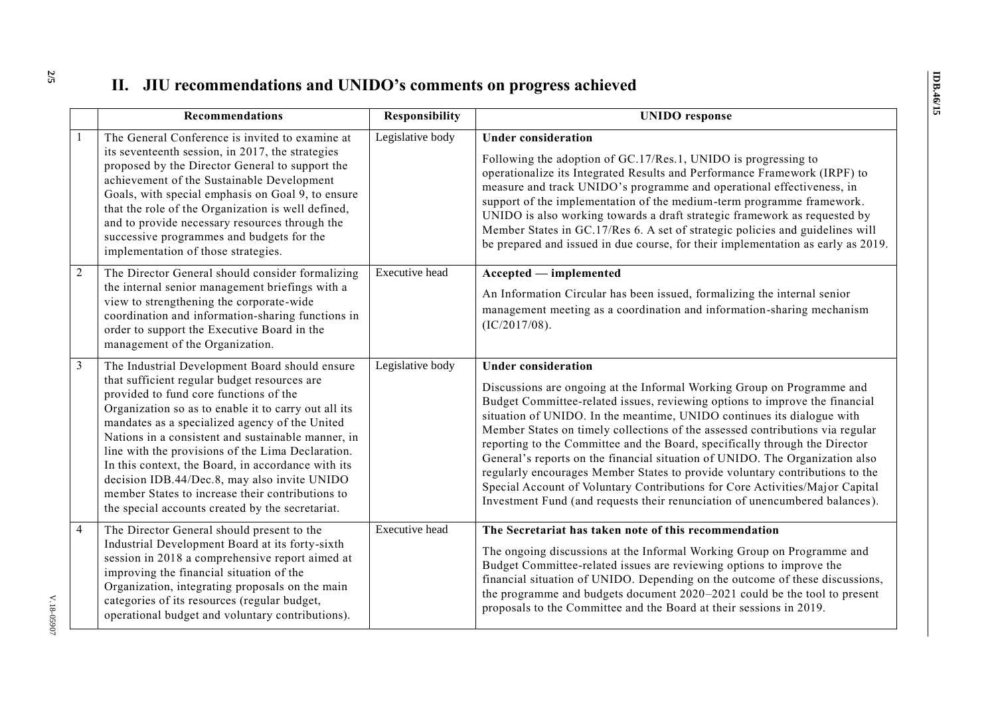## **II. JIU recommendations and UNIDO's comments on progress achieved**

|                | Recommendations                                                                                                                                                                                                                                                                                                                                                                                                                                                                                                                                                             | <b>Responsibility</b> | <b>UNIDO</b> response                                                                                                                                                                                                                                                                                                                                                                                                                                                                                                                                                                                                                                                                                                                                        |
|----------------|-----------------------------------------------------------------------------------------------------------------------------------------------------------------------------------------------------------------------------------------------------------------------------------------------------------------------------------------------------------------------------------------------------------------------------------------------------------------------------------------------------------------------------------------------------------------------------|-----------------------|--------------------------------------------------------------------------------------------------------------------------------------------------------------------------------------------------------------------------------------------------------------------------------------------------------------------------------------------------------------------------------------------------------------------------------------------------------------------------------------------------------------------------------------------------------------------------------------------------------------------------------------------------------------------------------------------------------------------------------------------------------------|
|                | The General Conference is invited to examine at<br>its seventeenth session, in 2017, the strategies<br>proposed by the Director General to support the<br>achievement of the Sustainable Development<br>Goals, with special emphasis on Goal 9, to ensure<br>that the role of the Organization is well defined,<br>and to provide necessary resources through the<br>successive programmes and budgets for the<br>implementation of those strategies.                                                                                                                       | Legislative body      | <b>Under consideration</b><br>Following the adoption of GC.17/Res.1, UNIDO is progressing to<br>operationalize its Integrated Results and Performance Framework (IRPF) to<br>measure and track UNIDO's programme and operational effectiveness, in<br>support of the implementation of the medium-term programme framework.<br>UNIDO is also working towards a draft strategic framework as requested by<br>Member States in GC.17/Res 6. A set of strategic policies and guidelines will<br>be prepared and issued in due course, for their implementation as early as 2019.                                                                                                                                                                                |
| $\overline{2}$ | The Director General should consider formalizing<br>the internal senior management briefings with a<br>view to strengthening the corporate-wide<br>coordination and information-sharing functions in<br>order to support the Executive Board in the<br>management of the Organization.                                                                                                                                                                                                                                                                                      | Executive head        | Accepted — implemented<br>An Information Circular has been issued, formalizing the internal senior<br>management meeting as a coordination and information-sharing mechanism<br>(IC/2017/08).                                                                                                                                                                                                                                                                                                                                                                                                                                                                                                                                                                |
| 3              | The Industrial Development Board should ensure<br>that sufficient regular budget resources are<br>provided to fund core functions of the<br>Organization so as to enable it to carry out all its<br>mandates as a specialized agency of the United<br>Nations in a consistent and sustainable manner, in<br>line with the provisions of the Lima Declaration.<br>In this context, the Board, in accordance with its<br>decision IDB.44/Dec.8, may also invite UNIDO<br>member States to increase their contributions to<br>the special accounts created by the secretariat. | Legislative body      | <b>Under consideration</b><br>Discussions are ongoing at the Informal Working Group on Programme and<br>Budget Committee-related issues, reviewing options to improve the financial<br>situation of UNIDO. In the meantime, UNIDO continues its dialogue with<br>Member States on timely collections of the assessed contributions via regular<br>reporting to the Committee and the Board, specifically through the Director<br>General's reports on the financial situation of UNIDO. The Organization also<br>regularly encourages Member States to provide voluntary contributions to the<br>Special Account of Voluntary Contributions for Core Activities/Major Capital<br>Investment Fund (and requests their renunciation of unencumbered balances). |
| 4              | The Director General should present to the<br>Industrial Development Board at its forty-sixth<br>session in 2018 a comprehensive report aimed at<br>improving the financial situation of the<br>Organization, integrating proposals on the main<br>categories of its resources (regular budget,<br>operational budget and voluntary contributions).                                                                                                                                                                                                                         | <b>Executive</b> head | The Secretariat has taken note of this recommendation<br>The ongoing discussions at the Informal Working Group on Programme and<br>Budget Committee-related issues are reviewing options to improve the<br>financial situation of UNIDO. Depending on the outcome of these discussions,<br>the programme and budgets document 2020-2021 could be the tool to present<br>proposals to the Committee and the Board at their sessions in 2019.                                                                                                                                                                                                                                                                                                                  |

**2 /5**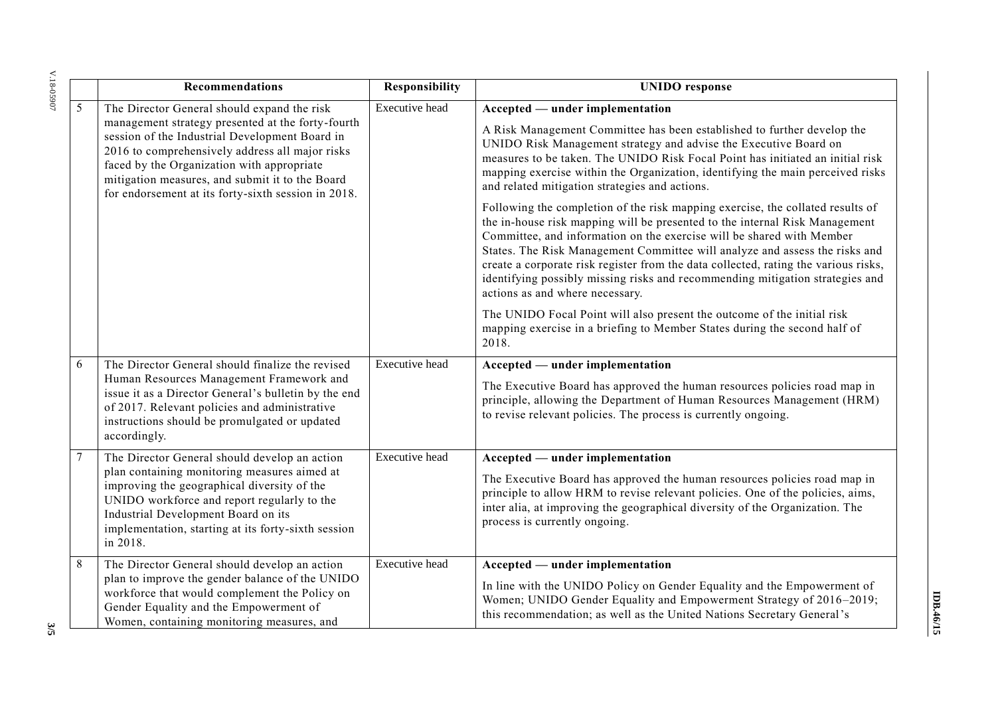| Y.18-05907 | Recommendations                                                                                                                                                                                                                                                                                                                                               | <b>Responsibility</b> | <b>UNIDO</b> response                                                                                                                                                                                                                                                                                                                                                                                                                                                                                                            |  |
|------------|---------------------------------------------------------------------------------------------------------------------------------------------------------------------------------------------------------------------------------------------------------------------------------------------------------------------------------------------------------------|-----------------------|----------------------------------------------------------------------------------------------------------------------------------------------------------------------------------------------------------------------------------------------------------------------------------------------------------------------------------------------------------------------------------------------------------------------------------------------------------------------------------------------------------------------------------|--|
| 5          | The Director General should expand the risk<br>management strategy presented at the forty-fourth<br>session of the Industrial Development Board in<br>2016 to comprehensively address all major risks<br>faced by the Organization with appropriate<br>mitigation measures, and submit it to the Board<br>for endorsement at its forty-sixth session in 2018. | Executive head        | Accepted — under implementation<br>A Risk Management Committee has been established to further develop the<br>UNIDO Risk Management strategy and advise the Executive Board on<br>measures to be taken. The UNIDO Risk Focal Point has initiated an initial risk<br>mapping exercise within the Organization, identifying the main perceived risks<br>and related mitigation strategies and actions.                                                                                                                             |  |
|            |                                                                                                                                                                                                                                                                                                                                                               |                       | Following the completion of the risk mapping exercise, the collated results of<br>the in-house risk mapping will be presented to the internal Risk Management<br>Committee, and information on the exercise will be shared with Member<br>States. The Risk Management Committee will analyze and assess the risks and<br>create a corporate risk register from the data collected, rating the various risks,<br>identifying possibly missing risks and recommending mitigation strategies and<br>actions as and where necessary. |  |
|            |                                                                                                                                                                                                                                                                                                                                                               |                       | The UNIDO Focal Point will also present the outcome of the initial risk<br>mapping exercise in a briefing to Member States during the second half of<br>2018.                                                                                                                                                                                                                                                                                                                                                                    |  |
| 6          | The Director General should finalize the revised<br>Human Resources Management Framework and<br>issue it as a Director General's bulletin by the end<br>of 2017. Relevant policies and administrative<br>instructions should be promulgated or updated<br>accordingly.                                                                                        | Executive head        | Accepted — under implementation<br>The Executive Board has approved the human resources policies road map in<br>principle, allowing the Department of Human Resources Management (HRM)<br>to revise relevant policies. The process is currently ongoing.                                                                                                                                                                                                                                                                         |  |
| 7          | The Director General should develop an action<br>plan containing monitoring measures aimed at<br>improving the geographical diversity of the<br>UNIDO workforce and report regularly to the<br>Industrial Development Board on its<br>implementation, starting at its forty-sixth session<br>in 2018.                                                         | <b>Executive</b> head | Accepted — under implementation<br>The Executive Board has approved the human resources policies road map in<br>principle to allow HRM to revise relevant policies. One of the policies, aims,<br>inter alia, at improving the geographical diversity of the Organization. The<br>process is currently ongoing.                                                                                                                                                                                                                  |  |
| 8<br>ىي    | The Director General should develop an action<br>plan to improve the gender balance of the UNIDO<br>workforce that would complement the Policy on<br>Gender Equality and the Empowerment of<br>Women, containing monitoring measures, and                                                                                                                     | Executive head        | Accepted — under implementation<br>In line with the UNIDO Policy on Gender Equality and the Empowerment of<br>Women; UNIDO Gender Equality and Empowerment Strategy of 2016-2019;<br>this recommendation; as well as the United Nations Secretary General's                                                                                                                                                                                                                                                                      |  |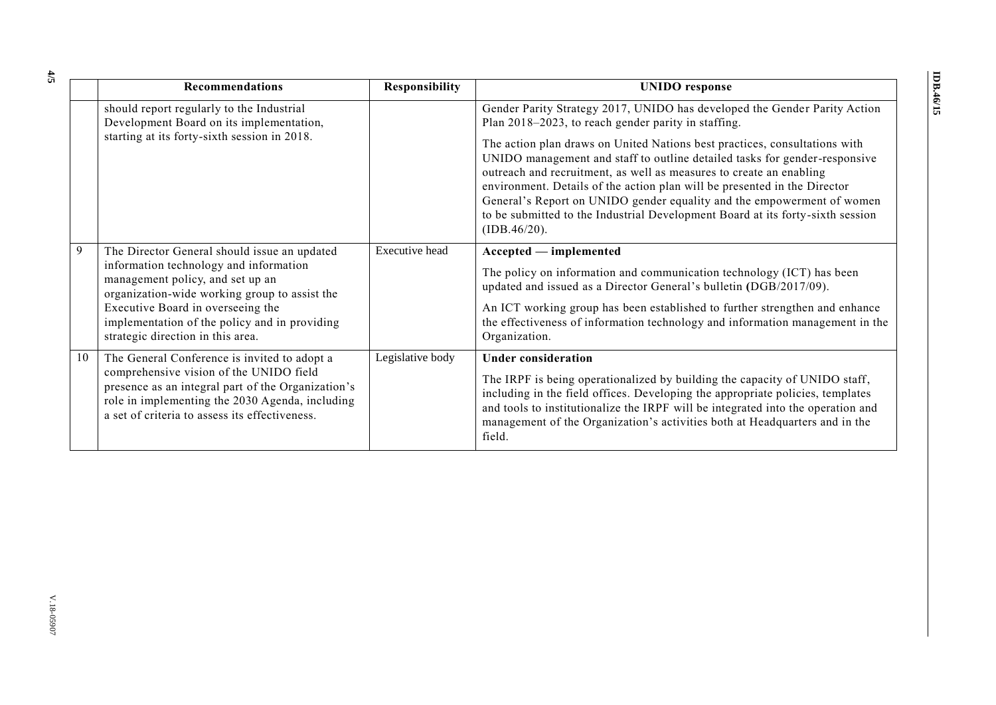|    | Recommendations                                                                                                                                                                                                                                                                                        | <b>Responsibility</b> | <b>UNIDO</b> response                                                                                                                                                                                                                                                                                                                                                                                                                                                                                                                                                                                                        |
|----|--------------------------------------------------------------------------------------------------------------------------------------------------------------------------------------------------------------------------------------------------------------------------------------------------------|-----------------------|------------------------------------------------------------------------------------------------------------------------------------------------------------------------------------------------------------------------------------------------------------------------------------------------------------------------------------------------------------------------------------------------------------------------------------------------------------------------------------------------------------------------------------------------------------------------------------------------------------------------------|
|    | should report regularly to the Industrial<br>Development Board on its implementation,<br>starting at its forty-sixth session in 2018.                                                                                                                                                                  |                       | Gender Parity Strategy 2017, UNIDO has developed the Gender Parity Action<br>Plan 2018-2023, to reach gender parity in staffing.<br>The action plan draws on United Nations best practices, consultations with<br>UNIDO management and staff to outline detailed tasks for gender-responsive<br>outreach and recruitment, as well as measures to create an enabling<br>environment. Details of the action plan will be presented in the Director<br>General's Report on UNIDO gender equality and the empowerment of women<br>to be submitted to the Industrial Development Board at its forty-sixth session<br>(IDB.46/20). |
| 9  | The Director General should issue an updated<br>information technology and information<br>management policy, and set up an<br>organization-wide working group to assist the<br>Executive Board in overseeing the<br>implementation of the policy and in providing<br>strategic direction in this area. | <b>Executive</b> head | Accepted — implemented<br>The policy on information and communication technology (ICT) has been<br>updated and issued as a Director General's bulletin (DGB/2017/09).<br>An ICT working group has been established to further strengthen and enhance<br>the effectiveness of information technology and information management in the<br>Organization.                                                                                                                                                                                                                                                                       |
| 10 | The General Conference is invited to adopt a<br>comprehensive vision of the UNIDO field<br>presence as an integral part of the Organization's<br>role in implementing the 2030 Agenda, including<br>a set of criteria to assess its effectiveness.                                                     | Legislative body      | <b>Under consideration</b><br>The IRPF is being operationalized by building the capacity of UNIDO staff,<br>including in the field offices. Developing the appropriate policies, templates<br>and tools to institutionalize the IRPF will be integrated into the operation and<br>management of the Organization's activities both at Headquarters and in the<br>field.                                                                                                                                                                                                                                                      |

**4 /5**